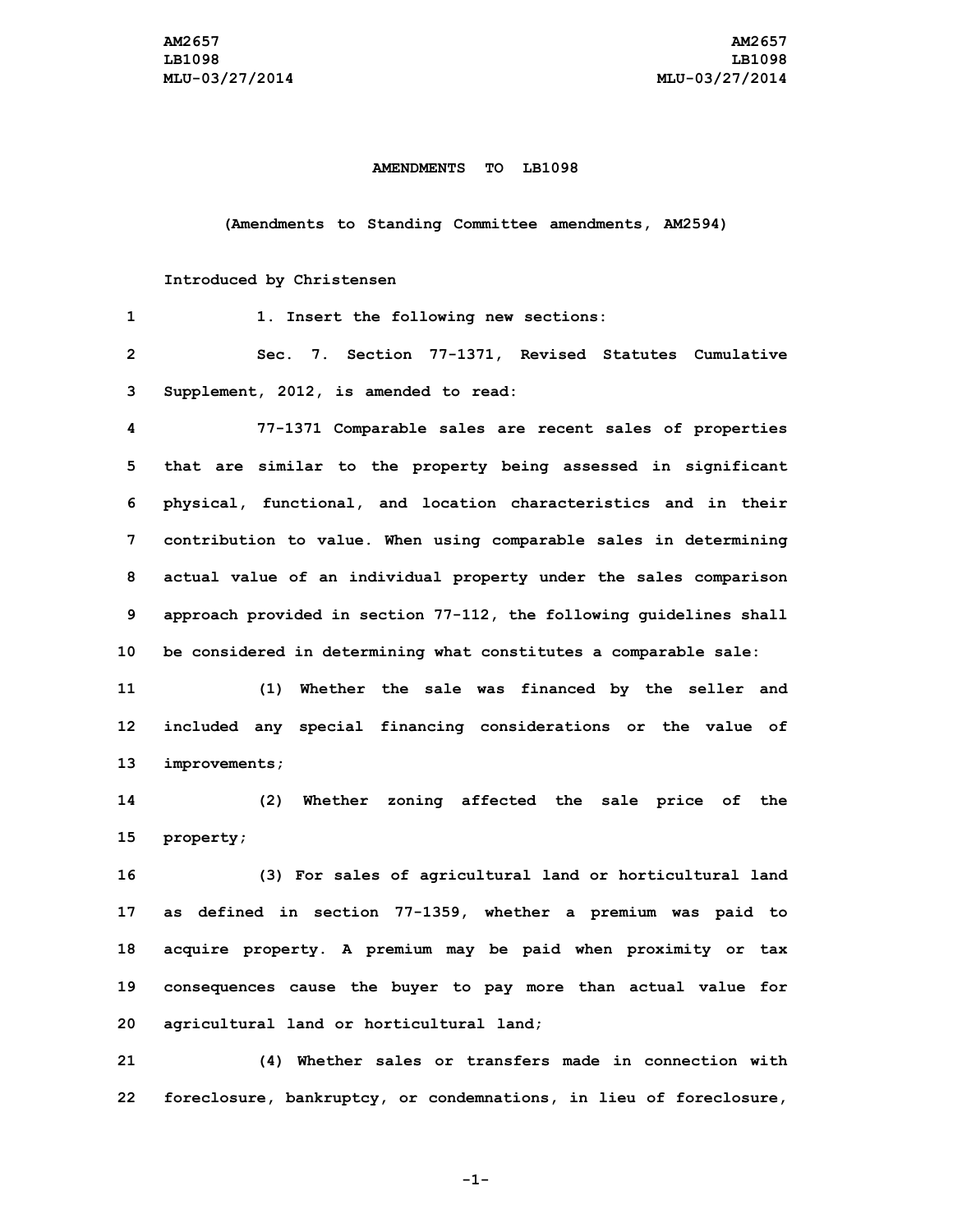## **AMENDMENTS TO LB1098**

**(Amendments to Standing Committee amendments, AM2594)**

## **Introduced by Christensen**

| 1              | 1. Insert the following new sections:                               |
|----------------|---------------------------------------------------------------------|
| $\overline{2}$ | Sec. 7. Section 77-1371, Revised Statutes Cumulative                |
| 3              | Supplement, 2012, is amended to read:                               |
| 4              | 77-1371 Comparable sales are recent sales of properties             |
| 5              | that are similar to the property being assessed in significant      |
| 6              | physical, functional, and location characteristics and in their     |
| 7              | contribution to value. When using comparable sales in determining   |
| 8              | actual value of an individual property under the sales comparison   |
| 9              | approach provided in section 77-112, the following guidelines shall |
| 10             | be considered in determining what constitutes a comparable sale:    |
| 11             | (1)<br>Whether the sale was financed by the seller and              |
| 12             | included any special financing considerations or the value of       |
| 13             | improvements;                                                       |
| 14             | Whether zoning affected the sale price of the<br>(2)                |
| 15             | property;                                                           |
| 16             | (3) For sales of agricultural land or horticultural land            |
| 17             | as defined in section 77-1359, whether a premium was paid to        |
| 18             | acquire property. A premium may be paid when proximity or tax       |
| 19             | consequences cause the buyer to pay more than actual value for      |
| 20             | agricultural land or horticultural land;                            |
|                |                                                                     |

**21 (4) Whether sales or transfers made in connection with 22 foreclosure, bankruptcy, or condemnations, in lieu of foreclosure,**

**-1-**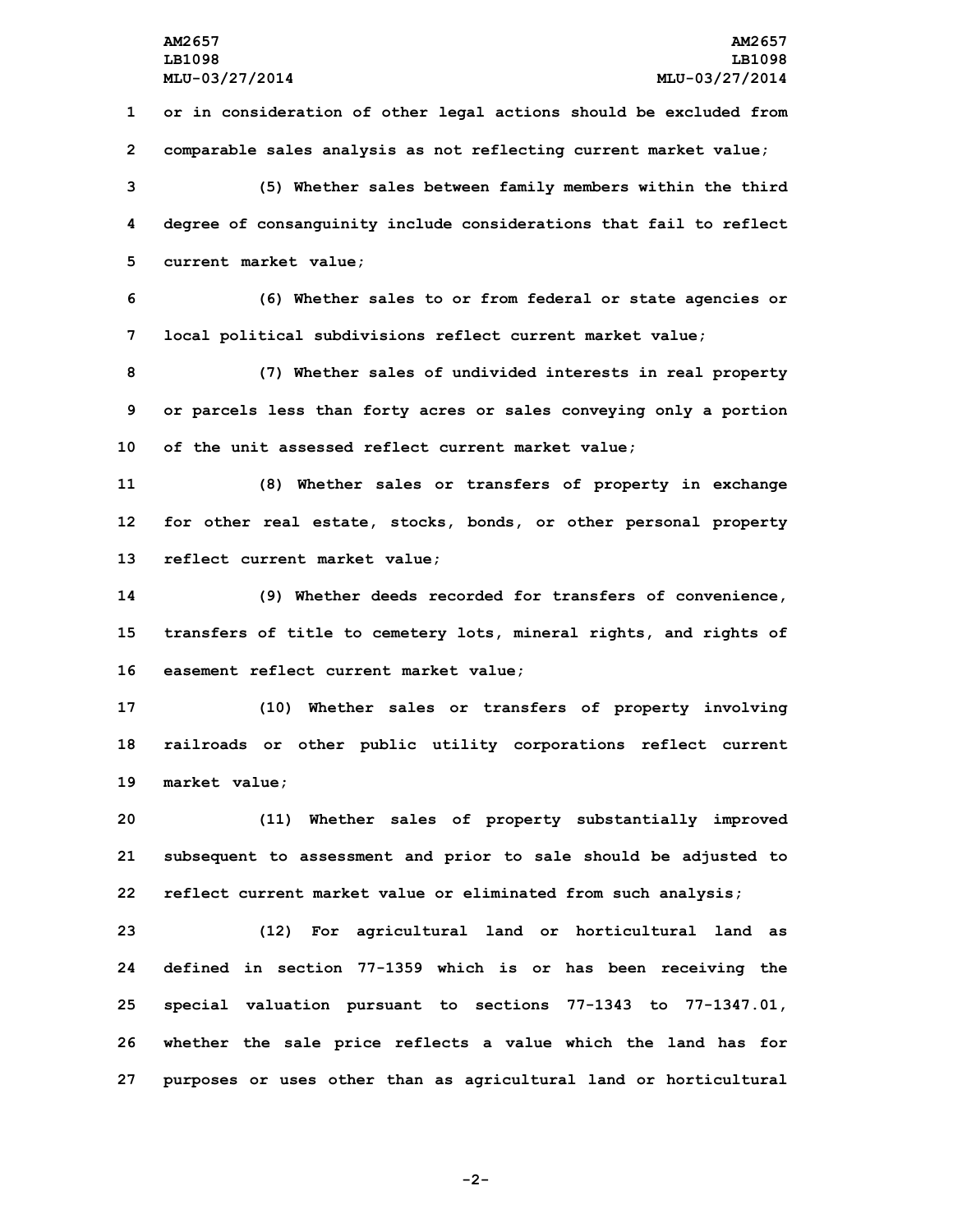**or in consideration of other legal actions should be excluded from comparable sales analysis as not reflecting current market value; (5) Whether sales between family members within the third degree of consanguinity include considerations that fail to reflect current market value; (6) Whether sales to or from federal or state agencies or local political subdivisions reflect current market value; (7) Whether sales of undivided interests in real property or parcels less than forty acres or sales conveying only <sup>a</sup> portion of the unit assessed reflect current market value; (8) Whether sales or transfers of property in exchange for other real estate, stocks, bonds, or other personal property reflect current market value; (9) Whether deeds recorded for transfers of convenience, transfers of title to cemetery lots, mineral rights, and rights of easement reflect current market value; (10) Whether sales or transfers of property involving railroads or other public utility corporations reflect current market value; (11) Whether sales of property substantially improved subsequent to assessment and prior to sale should be adjusted to reflect current market value or eliminated from such analysis; (12) For agricultural land or horticultural land as defined in section 77-1359 which is or has been receiving the special valuation pursuant to sections 77-1343 to 77-1347.01, whether the sale price reflects <sup>a</sup> value which the land has for**

**-2-**

**27 purposes or uses other than as agricultural land or horticultural**